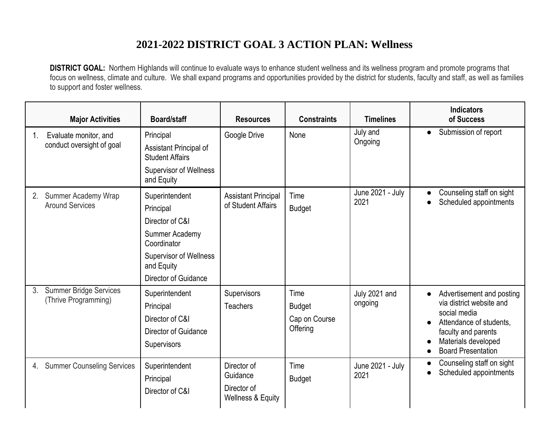## **2021-2022 DISTRICT GOAL 3 ACTION PLAN: Wellness**

**DISTRICT GOAL:** Northern Highlands will continue to evaluate ways to enhance student wellness and its wellness program and promote programs that focus on wellness, climate and culture. We shall expand programs and opportunities provided by the district for students, faculty and staff, as well as families to support and foster wellness.

|    | <b>Major Activities</b>                               | Board/staff                                                                                                                                            | <b>Resources</b>                                            | <b>Constraints</b>                                 | <b>Timelines</b>         | <b>Indicators</b><br>of Success                                                                                                                                             |
|----|-------------------------------------------------------|--------------------------------------------------------------------------------------------------------------------------------------------------------|-------------------------------------------------------------|----------------------------------------------------|--------------------------|-----------------------------------------------------------------------------------------------------------------------------------------------------------------------------|
| 1. | Evaluate monitor, and<br>conduct oversight of goal    | Principal<br>Assistant Principal of<br><b>Student Affairs</b><br><b>Supervisor of Wellness</b><br>and Equity                                           | Google Drive                                                | None                                               | July and<br>Ongoing      | Submission of report<br>$\bullet$                                                                                                                                           |
| 2. | <b>Summer Academy Wrap</b><br><b>Around Services</b>  | Superintendent<br>Principal<br>Director of C&I<br>Summer Academy<br>Coordinator<br><b>Supervisor of Wellness</b><br>and Equity<br>Director of Guidance | <b>Assistant Principal</b><br>of Student Affairs            | Time<br><b>Budget</b>                              | June 2021 - July<br>2021 | Counseling staff on sight<br>$\bullet$<br>Scheduled appointments                                                                                                            |
| 3. | <b>Summer Bridge Services</b><br>(Thrive Programming) | Superintendent<br>Principal<br>Director of C&I<br><b>Director of Guidance</b><br>Supervisors                                                           | <b>Supervisors</b><br><b>Teachers</b>                       | Time<br><b>Budget</b><br>Cap on Course<br>Offering | July 2021 and<br>ongoing | Advertisement and posting<br>via district website and<br>social media<br>Attendance of students.<br>faculty and parents<br>Materials developed<br><b>Board Presentation</b> |
|    | 4. Summer Counseling Services                         | Superintendent<br>Principal<br>Director of C&I                                                                                                         | Director of<br>Guidance<br>Director of<br>Wellness & Equity | Time<br><b>Budget</b>                              | June 2021 - July<br>2021 | Counseling staff on sight<br>Scheduled appointments<br>$\bullet$                                                                                                            |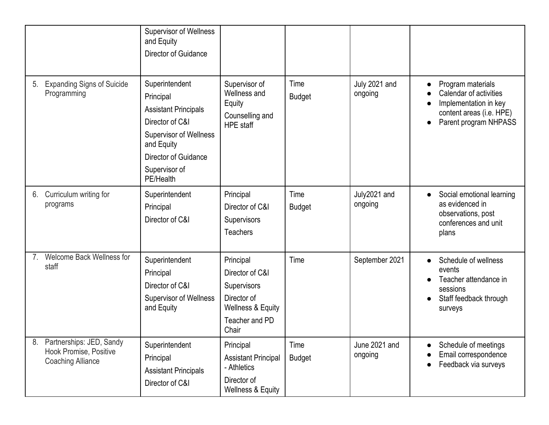|                |                                                                                | <b>Supervisor of Wellness</b><br>and Equity<br>Director of Guidance                                                                                                                |                                                                                                                       |                       |                          |                                                                                                                                        |
|----------------|--------------------------------------------------------------------------------|------------------------------------------------------------------------------------------------------------------------------------------------------------------------------------|-----------------------------------------------------------------------------------------------------------------------|-----------------------|--------------------------|----------------------------------------------------------------------------------------------------------------------------------------|
| 5.             | <b>Expanding Signs of Suicide</b><br>Programming                               | Superintendent<br>Principal<br><b>Assistant Principals</b><br>Director of C&I<br><b>Supervisor of Wellness</b><br>and Equity<br>Director of Guidance<br>Supervisor of<br>PE/Health | Supervisor of<br>Wellness and<br>Equity<br>Counselling and<br><b>HPE</b> staff                                        | Time<br><b>Budget</b> | July 2021 and<br>ongoing | Program materials<br>Calendar of activities<br>Implementation in key<br>content areas (i.e. HPE)<br>Parent program NHPASS<br>$\bullet$ |
| 6.             | Curriculum writing for<br>programs                                             | Superintendent<br>Principal<br>Director of C&I                                                                                                                                     | Principal<br>Director of C&I<br>Supervisors<br><b>Teachers</b>                                                        | Time<br><b>Budget</b> | July2021 and<br>ongoing  | Social emotional learning<br>$\bullet$<br>as evidenced in<br>observations, post<br>conferences and unit<br>plans                       |
| 7 <sub>1</sub> | Welcome Back Wellness for<br>staff                                             | Superintendent<br>Principal<br>Director of C&I<br><b>Supervisor of Wellness</b><br>and Equity                                                                                      | Principal<br>Director of C&I<br>Supervisors<br>Director of<br><b>Wellness &amp; Equity</b><br>Teacher and PD<br>Chair | Time                  | September 2021           | Schedule of wellness<br>events<br>Teacher attendance in<br>sessions<br>Staff feedback through<br>surveys                               |
| 8.             | Partnerships: JED, Sandy<br>Hook Promise, Positive<br><b>Coaching Alliance</b> | Superintendent<br>Principal<br><b>Assistant Principals</b><br>Director of C&I                                                                                                      | Principal<br><b>Assistant Principal</b><br>- Athletics<br>Director of<br>Wellness & Equity                            | Time<br><b>Budget</b> | June 2021 and<br>ongoing | Schedule of meetings<br>Email correspondence<br>Feedback via surveys                                                                   |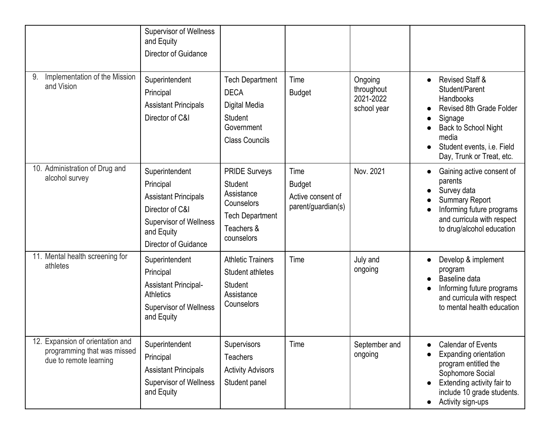|                                                                                           | <b>Supervisor of Wellness</b><br>and Equity<br>Director of Guidance                                                                                  |                                                                                                                   |                                                                  |                                                   |                                                                                                                                                                                                                                     |
|-------------------------------------------------------------------------------------------|------------------------------------------------------------------------------------------------------------------------------------------------------|-------------------------------------------------------------------------------------------------------------------|------------------------------------------------------------------|---------------------------------------------------|-------------------------------------------------------------------------------------------------------------------------------------------------------------------------------------------------------------------------------------|
| Implementation of the Mission<br>9.<br>and Vision                                         | Superintendent<br>Principal<br><b>Assistant Principals</b><br>Director of C&I                                                                        | <b>Tech Department</b><br><b>DECA</b><br>Digital Media<br>Student<br>Government<br><b>Class Councils</b>          | Time<br><b>Budget</b>                                            | Ongoing<br>throughout<br>2021-2022<br>school year | <b>Revised Staff &amp;</b><br>$\bullet$<br>Student/Parent<br>Handbooks<br>Revised 8th Grade Folder<br>Signage<br>$\bullet$<br>Back to School Night<br>media<br>Student events, i.e. Field<br>$\bullet$<br>Day, Trunk or Treat, etc. |
| 10. Administration of Drug and<br>alcohol survey                                          | Superintendent<br>Principal<br><b>Assistant Principals</b><br>Director of C&I<br><b>Supervisor of Wellness</b><br>and Equity<br>Director of Guidance | <b>PRIDE Surveys</b><br>Student<br>Assistance<br>Counselors<br><b>Tech Department</b><br>Teachers &<br>counselors | Time<br><b>Budget</b><br>Active consent of<br>parent/guardian(s) | Nov. 2021                                         | Gaining active consent of<br>$\bullet$<br>parents<br>Survey data<br>$\bullet$<br><b>Summary Report</b><br>Informing future programs<br>$\bullet$<br>and curricula with respect<br>to drug/alcohol education                         |
| 11. Mental health screening for<br>athletes                                               | Superintendent<br>Principal<br><b>Assistant Principal-</b><br><b>Athletics</b><br><b>Supervisor of Wellness</b><br>and Equity                        | <b>Athletic Trainers</b><br>Student athletes<br>Student<br>Assistance<br>Counselors                               | Time                                                             | July and<br>ongoing                               | Develop & implement<br>$\bullet$<br>program<br>Baseline data<br>Informing future programs<br>$\bullet$<br>and curricula with respect<br>to mental health education                                                                  |
| 12. Expansion of orientation and<br>programming that was missed<br>due to remote learning | Superintendent<br>Principal<br><b>Assistant Principals</b><br><b>Supervisor of Wellness</b><br>and Equity                                            | Supervisors<br><b>Teachers</b><br><b>Activity Advisors</b><br>Student panel                                       | Time                                                             | September and<br>ongoing                          | <b>Calendar of Events</b><br><b>Expanding orientation</b><br>program entitled the<br>Sophomore Social<br>Extending activity fair to<br>include 10 grade students.<br>Activity sign-ups                                              |